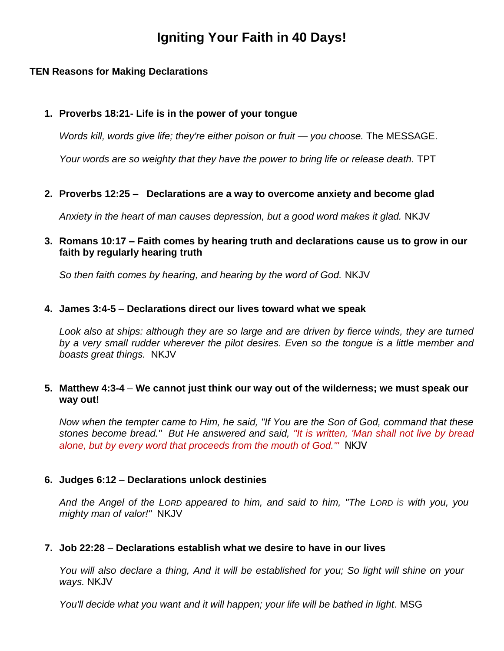# **Igniting Your Faith in 40 Days!**

# **TEN Reasons for Making Declarations**

### **1. Proverbs 18:21- Life is in the power of your tongue**

*Words kill, words give life; they're either poison or fruit — you choose.* The MESSAGE.

*Your words are so weighty that they have the power to bring life or release death.* TPT

**2. Proverbs 12:25 – Declarations are a way to overcome anxiety and become glad**

*Anxiety in the heart of man causes depression, but a good word makes it glad.* NKJV

**3. Romans 10:17 – Faith comes by hearing truth and declarations cause us to grow in our faith by regularly hearing truth** 

*So then faith comes by hearing, and hearing by the word of God.* NKJV

# **4. James 3:4-5** – **Declarations direct our lives toward what we speak**

*Look also at ships: although they are so large and are driven by fierce winds, they are turned by a very small rudder wherever the pilot desires. Even so the tongue is a little member and boasts great things.* NKJV

# **5. Matthew 4:3-4** – **We cannot just think our way out of the wilderness; we must speak our way out!**

*Now when the tempter came to Him, he said, "If You are the Son of God, command that these stones become bread." But He answered and said, "It is written, 'Man shall not live by bread alone, but by every word that proceeds from the mouth of God.'"* NKJV

# **6. Judges 6:12** – **Declarations unlock destinies**

*And the Angel of the LORD appeared to him, and said to him, "The LORD is with you, you mighty man of valor!"* NKJV

#### **7. Job 22:28** – **Declarations establish what we desire to have in our lives**

*You will also declare a thing, And it will be established for you; So light will shine on your ways.* NKJV

*You'll decide what you want and it will happen; your life will be bathed in light*. MSG